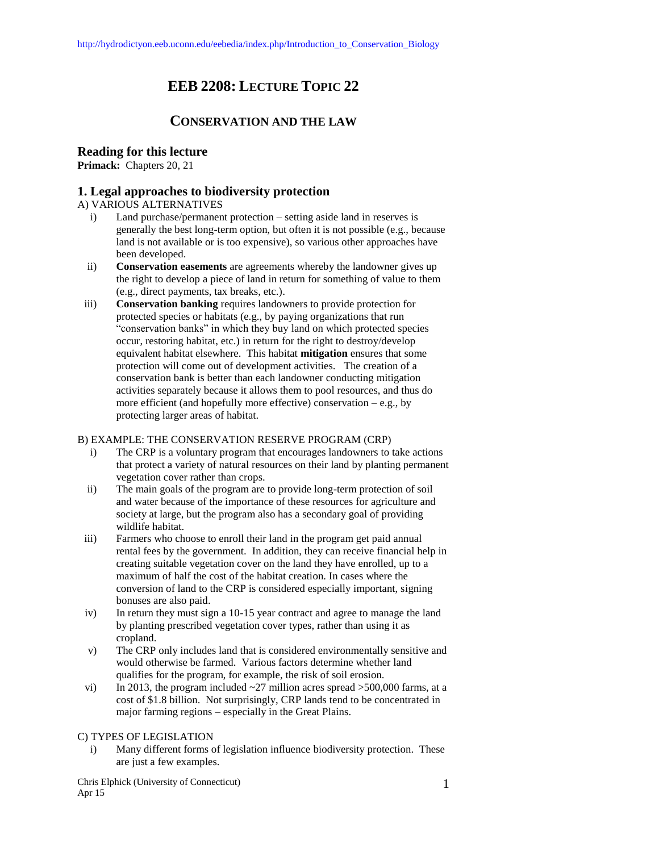# **EEB 2208: LECTURE TOPIC 22**

# **CONSERVATION AND THE LAW**

# **Reading for this lecture**

**Primack:** Chapters 20, 21

# **1. Legal approaches to biodiversity protection**

### A) VARIOUS ALTERNATIVES

- i) Land purchase/permanent protection setting aside land in reserves is generally the best long-term option, but often it is not possible (e.g., because land is not available or is too expensive), so various other approaches have been developed.
- ii) **Conservation easements** are agreements whereby the landowner gives up the right to develop a piece of land in return for something of value to them (e.g., direct payments, tax breaks, etc.).
- iii) **Conservation banking** requires landowners to provide protection for protected species or habitats (e.g., by paying organizations that run "conservation banks" in which they buy land on which protected species occur, restoring habitat, etc.) in return for the right to destroy/develop equivalent habitat elsewhere. This habitat **mitigation** ensures that some protection will come out of development activities. The creation of a conservation bank is better than each landowner conducting mitigation activities separately because it allows them to pool resources, and thus do more efficient (and hopefully more effective) conservation  $-e.g., by$ protecting larger areas of habitat.

# B) EXAMPLE: THE CONSERVATION RESERVE PROGRAM (CRP)

- i) The CRP is a voluntary program that encourages landowners to take actions that protect a variety of natural resources on their land by planting permanent vegetation cover rather than crops.
- ii) The main goals of the program are to provide long-term protection of soil and water because of the importance of these resources for agriculture and society at large, but the program also has a secondary goal of providing wildlife habitat.
- iii) Farmers who choose to enroll their land in the program get paid annual rental fees by the government. In addition, they can receive financial help in creating suitable vegetation cover on the land they have enrolled, up to a maximum of half the cost of the habitat creation. In cases where the conversion of land to the CRP is considered especially important, signing bonuses are also paid.
- iv) In return they must sign a 10-15 year contract and agree to manage the land by planting prescribed vegetation cover types, rather than using it as cropland.
- v) The CRP only includes land that is considered environmentally sensitive and would otherwise be farmed. Various factors determine whether land qualifies for the program, for example, the risk of soil erosion.
- vi) In 2013, the program included  $\sim$ 27 million acres spread  $>$ 500,000 farms, at a cost of \$1.8 billion. Not surprisingly, CRP lands tend to be concentrated in major farming regions – especially in the Great Plains.

# C) TYPES OF LEGISLATION

i) Many different forms of legislation influence biodiversity protection. These are just a few examples.

Chris Elphick (University of Connecticut) Apr 15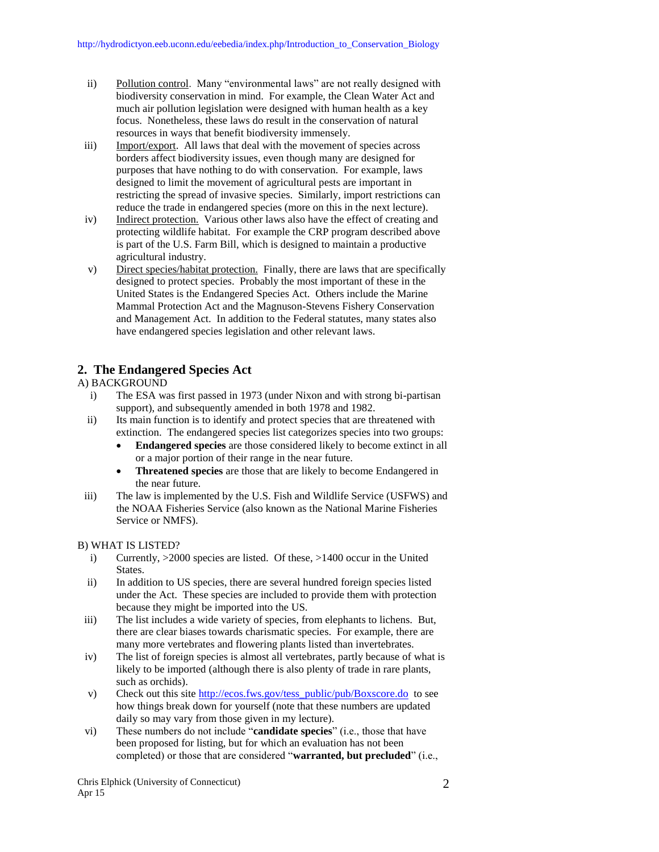- ii) Pollution control. Many "environmental laws" are not really designed with biodiversity conservation in mind. For example, the Clean Water Act and much air pollution legislation were designed with human health as a key focus. Nonetheless, these laws do result in the conservation of natural resources in ways that benefit biodiversity immensely.
- iii) Import/export. All laws that deal with the movement of species across borders affect biodiversity issues, even though many are designed for purposes that have nothing to do with conservation. For example, laws designed to limit the movement of agricultural pests are important in restricting the spread of invasive species. Similarly, import restrictions can reduce the trade in endangered species (more on this in the next lecture).
- iv) Indirect protection. Various other laws also have the effect of creating and protecting wildlife habitat. For example the CRP program described above is part of the U.S. Farm Bill, which is designed to maintain a productive agricultural industry.
- v) Direct species/habitat protection. Finally, there are laws that are specifically designed to protect species. Probably the most important of these in the United States is the Endangered Species Act. Others include the Marine Mammal Protection Act and the Magnuson-Stevens Fishery Conservation and Management Act. In addition to the Federal statutes, many states also have endangered species legislation and other relevant laws.

# **2. The Endangered Species Act**

# A) BACKGROUND

- i) The ESA was first passed in 1973 (under Nixon and with strong bi-partisan support), and subsequently amended in both 1978 and 1982.
- ii) Its main function is to identify and protect species that are threatened with extinction. The endangered species list categorizes species into two groups:
	- **Endangered species** are those considered likely to become extinct in all or a major portion of their range in the near future.
	- **Threatened species** are those that are likely to become Endangered in the near future.
- iii) The law is implemented by the U.S. Fish and Wildlife Service (USFWS) and the NOAA Fisheries Service (also known as the National Marine Fisheries Service or NMFS).

### B) WHAT IS LISTED?

- i) Currently, >2000 species are listed. Of these, >1400 occur in the United States.
- ii) In addition to US species, there are several hundred foreign species listed under the Act. These species are included to provide them with protection because they might be imported into the US.
- iii) The list includes a wide variety of species, from elephants to lichens. But, there are clear biases towards charismatic species. For example, there are many more vertebrates and flowering plants listed than invertebrates.
- iv) The list of foreign species is almost all vertebrates, partly because of what is likely to be imported (although there is also plenty of trade in rare plants, such as orchids).
- v) Check out this sit[e http://ecos.fws.gov/tess\\_public/pub/Boxscore.do](http://ecos.fws.gov/tess_public/pub/Boxscore.do) to see how things break down for yourself (note that these numbers are updated daily so may vary from those given in my lecture).
- vi) These numbers do not include "**candidate species**" (i.e., those that have been proposed for listing, but for which an evaluation has not been completed) or those that are considered "**warranted, but precluded**" (i.e.,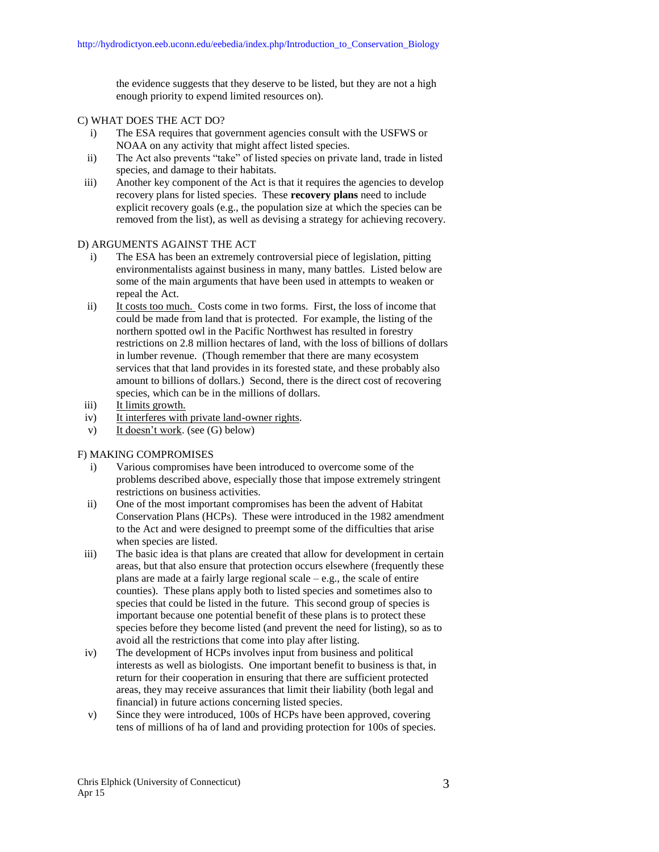the evidence suggests that they deserve to be listed, but they are not a high enough priority to expend limited resources on).

### C) WHAT DOES THE ACT DO?

- i) The ESA requires that government agencies consult with the USFWS or NOAA on any activity that might affect listed species.
- ii) The Act also prevents "take" of listed species on private land, trade in listed species, and damage to their habitats.
- iii) Another key component of the Act is that it requires the agencies to develop recovery plans for listed species. These **recovery plans** need to include explicit recovery goals (e.g., the population size at which the species can be removed from the list), as well as devising a strategy for achieving recovery.

### D) ARGUMENTS AGAINST THE ACT

- i) The ESA has been an extremely controversial piece of legislation, pitting environmentalists against business in many, many battles. Listed below are some of the main arguments that have been used in attempts to weaken or repeal the Act.
- ii) It costs too much. Costs come in two forms. First, the loss of income that could be made from land that is protected. For example, the listing of the northern spotted owl in the Pacific Northwest has resulted in forestry restrictions on 2.8 million hectares of land, with the loss of billions of dollars in lumber revenue. (Though remember that there are many ecosystem services that that land provides in its forested state, and these probably also amount to billions of dollars.) Second, there is the direct cost of recovering species, which can be in the millions of dollars.
- iii) It limits growth.
- iv) It interferes with private land-owner rights.
- v) It doesn't work. (see (G) below)

### F) MAKING COMPROMISES

- i) Various compromises have been introduced to overcome some of the problems described above, especially those that impose extremely stringent restrictions on business activities.
- ii) One of the most important compromises has been the advent of Habitat Conservation Plans (HCPs). These were introduced in the 1982 amendment to the Act and were designed to preempt some of the difficulties that arise when species are listed.
- iii) The basic idea is that plans are created that allow for development in certain areas, but that also ensure that protection occurs elsewhere (frequently these plans are made at a fairly large regional scale  $-e.g.,$  the scale of entire counties). These plans apply both to listed species and sometimes also to species that could be listed in the future. This second group of species is important because one potential benefit of these plans is to protect these species before they become listed (and prevent the need for listing), so as to avoid all the restrictions that come into play after listing.
- iv) The development of HCPs involves input from business and political interests as well as biologists. One important benefit to business is that, in return for their cooperation in ensuring that there are sufficient protected areas, they may receive assurances that limit their liability (both legal and financial) in future actions concerning listed species.
- v) Since they were introduced, 100s of HCPs have been approved, covering tens of millions of ha of land and providing protection for 100s of species.